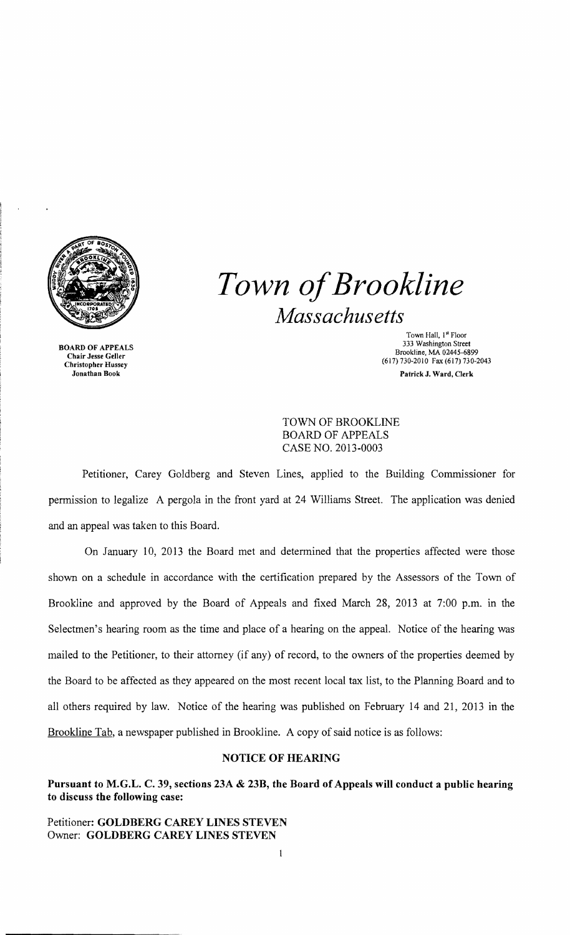

BOARD OF APPEALS Chair Jesse Geller Christopher Hussey Jonathan Book

*Town ofBrookline Massachusetts* 

> Town Hall, I" Floor 333 Washington Street Brookline, MA 02445-6899 (617) 730-2010 Fax (617)730-2043 Patrick J. Ward, Clerk

TOWN OF BROOKLINE BOARD OF APPEALS CASE NO. 2013-0003

Petitioner, Carey Goldberg and Steven Lines, applied to the Building Commissioner for permission to legalize A pergola in the front yard at 24 Williams Street. The application was denied and an appeal was taken to this Board.

On January 10, 2013 the Board met and determined that the properties affected were those shown on a schedule in accordance with the certification prepared by the Assessors of the Town of Brookline and approved by the Board of Appeals and fixed March 28, 2013 at 7:00 p.m. in the Selectmen's hearing room as the time and place of a hearing on the appeal. Notice of the hearing was mailed to the Petitioner, to their attorney (if any) of record, to the owners of the properties deemed by the Board to be affected as they appeared on the most recent local tax list, to the Planning Board and to all others required by law. Notice of the hearing was published on February 14 and 21, 2013 in the Brookline Tab, a newspaper published in Brookline. A copy of said notice is as follows:

## NOTICE OF HEARING

Pursuant to M.G.L. C. 39, sections 23A & 23B, the Board of Appeals will conduct a public hearing to discuss the following case:

Petitioner: GOLDBERG CAREY LINES STEVEN Owner: GOLDBERG CAREY LINES STEVEN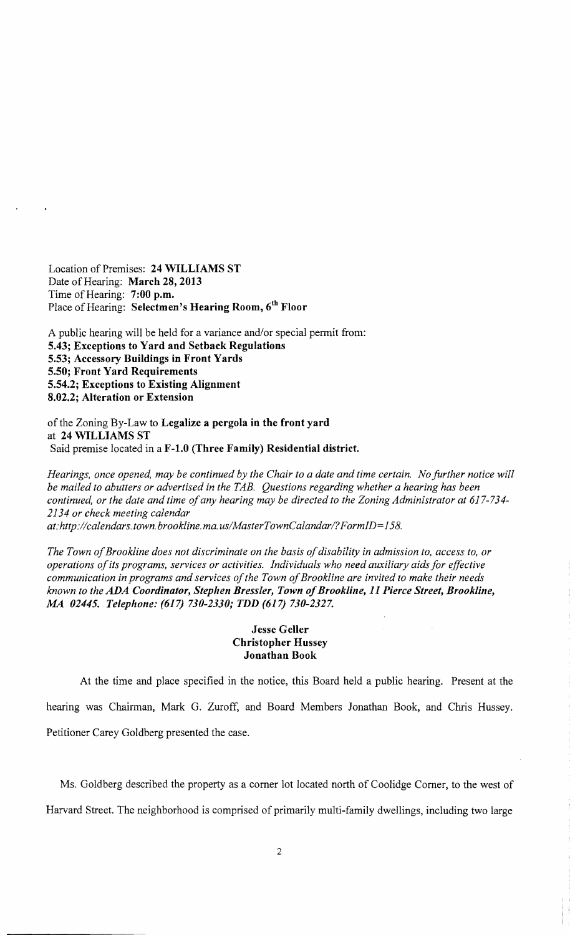Location of Premises: 24 WILLIAMS ST Date of Hearing: March 28, 2013 Time of Hearing: 7:00 p.m. Place of Hearing: Selectmen's Hearing Room, 6<sup>th</sup> Floor

A public hearing will be held for a variance and/or special permit from: 5.43; Exceptions to Yard and Setback Regulations 5.53; Accessory Buildings in Front Yards 5.50; Front Yard Requirements 5.54.2; Exceptions to Existing Alignment 8.02.2; Alteration or Extension

of the Zoning By-Law to Legalize a pergola in the front yard at 24 WILLIAMS ST Said premise located in a F-1.0 (Three Family) Residential district.

*Hearings, once opened, may be continued by the Chair to a date and time certain. No further notice will be mailed to abutters or advertised in the TAB. Questions regarding whether a hearing has been continued, or the date and time ofany hearing may be directed to the Zoning Administrator at 617-734 2134 or check meeting calendar at:http://calendars. town. brookline.ma. uslMaster Town Calandar I?FormID=158.* 

The Town of Brookline does not discriminate on the basis of disability in admission to, access to, or *operations ofits programs, services or activities. Individuals who need auxiliary aids for effective communication in programs and services of the Town of Brookline are invited to make their needs known to the* ADA *Coordinator, Stephen Bressler, Town ofBrookline,* 11 *Pierce Street, Brookline, MA 02445. Telephone:* (617) *730-2330; TDD* (617) *730-2327.* 

## **Jesse Geller** Christopher Hussey Jonathan Book

At the time and place specified in the notice, this Board held a public hearing. Present at the hearing was Chairman, Mark G. Zuroff, and Board Members Jonathan Book, and Chris Hussey. Petitioner Carey Goldberg presented the case.

Ms. Goldberg described the property as a corner lot located north of Coolidge Comer, to the west of

Harvard Street. The neighborhood is comprised of primarily multi-family dwellings, including two large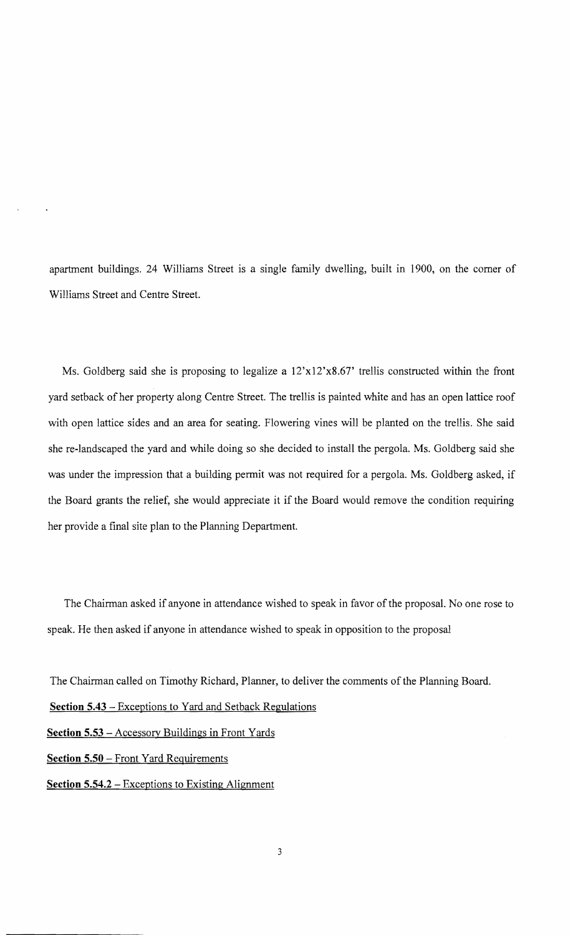apartment buildings. 24 Williams Street is a single family dwelling, built in 1900, on the comer of Williams Street and Centre Street.

Ms. Goldberg said she is proposing to legalize a  $12'x12'x8.67'$  trellis constructed within the front yard setback of her property along Centre Street. The trellis is painted white and has an open lattice roof with open lattice sides and an area for seating. Flowering vines will be planted on the trellis. She said she re-landscaped the yard and while doing so she decided to install the pergola. Ms. Goldberg said she was under the impression that a building permit was not required for a pergola. Ms. Goldberg asked, if the Board grants the relief, she would appreciate it if the Board would remove the condition requiring her provide a final site plan to the Planning Department.

The Chairman asked if anyone in attendance wished to speak in favor of the proposal. No one rose to speak. He then asked if anyone in attendance wished to speak in opposition to the proposal

The Chairman called on Timothy Richard, Planner, to deliver the comments of the Planning Board.

**Section 5.43** - Exceptions to Yard and Setback Regulations

**Section 5.53** - Accessory Buildings in Front Yards

**Section 5.50** - Front Yard Requirements

**Section 5.54.2** - Exceptions to Existing Alignment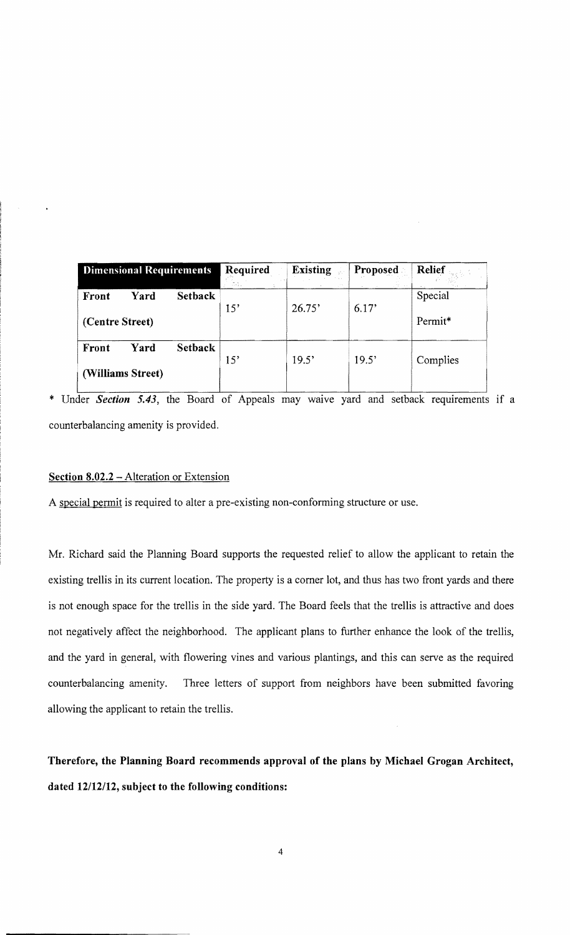| <b>Dimensional Requirements</b> |      |                | Required<br>ille e a<br>÷. | <b>Existing</b> | Proposed | <b>Relief</b>       |
|---------------------------------|------|----------------|----------------------------|-----------------|----------|---------------------|
| Front                           | Yard | <b>Setback</b> | 15'                        | 26.75'          | 6.17'    | Special             |
| (Centre Street)                 |      |                |                            |                 |          | Permit <sup>*</sup> |
| Front                           | Yard | <b>Setback</b> | 15'                        | 19.5'           | 19.5'    | Complies            |
| (Williams Street)               |      |                |                            |                 |          |                     |

\* Under *Section* **5.43,** the Board of Appeals may waive yard and setback requirements if a counterbalancing amenity is provided.

## **Section 8.02.2 – Alteration or Extension**

A special permit is required to alter a pre-existing non-conforming structure or use.

Mr. Richard said the Planning Board supports the requested relief to allow the applicant to retain the existing trellis in its current location. The property is a comer lot, and thus has two front yards and there is not enough space for the trellis in the side yard. The Board feels that the trellis is attractive and does not negatively affect the neighborhood. The applicant plans to further enhance the look of the trellis, and the yard in general, with flowering vines and various plantings, and this can serve as the required counterbalancing amenity. Three letters of support from neighbors have been submitted favoring allowing the applicant to retain the trellis.

**Therefore, the Planning Board recommends approval of the plans by Michael Grogan Architect, dated** *12/12112,* **subject to the following conditions:**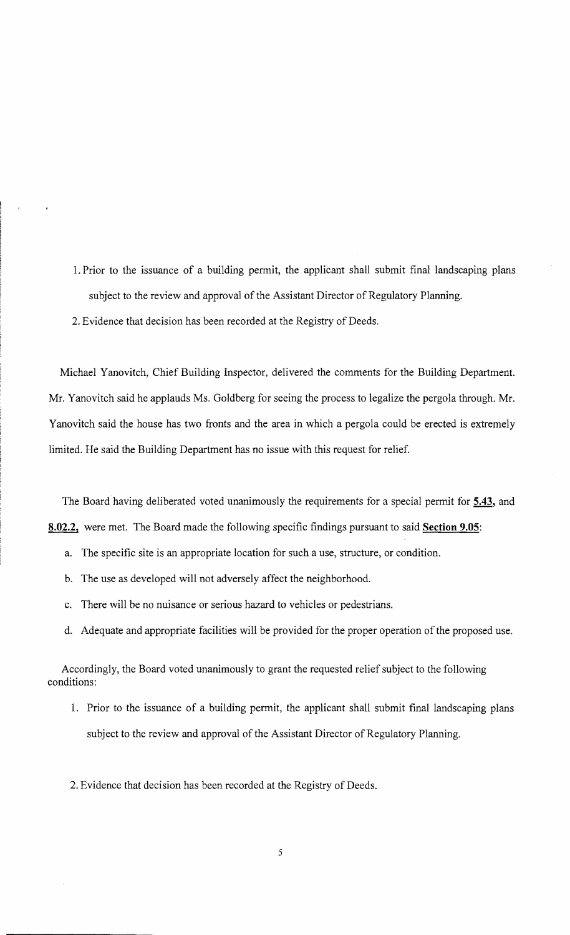- 1. Prior to the issuance of a building permit, the applicant shall submit final landscaping plans subject to the review and approval of the Assistant Director of Regulatory Planning.
- 2. Evidence that decision has been recorded at the Registry of Deeds.

Michael Yanovitch, Chief Building Inspector, delivered the comments for the Building Department. Mr. Yanovitch said he applauds Ms. Goldberg for seeing the process to legalize the pergola through. Mr. Yanovitch said the house has two fronts and the area in which a pergola could be erected is extremely limited. He said the Building Department has no issue with this request for relief.

The Board having deliberated voted unanimously the requirements for a special permit for **5.43,** and **8.02.2,** were met. The Board made the following specific findings pursuant to said **Section 9.05:** 

- a. The specific site is an appropriate location for such a use, structure, or condition.
- b. The use as developed will not adversely affect the neighborhood.
- c. There will be no nuisance or serious hazard to vehicles or pedestrians.
- d. Adequate and appropriate facilities will be provided for the proper operation of the proposed use.

Accordingly, the Board voted unanimously to grant the requested relief subject to the following conditions:

1. Prior to the issuance of a building permit, the applicant shall submit final landscaping plans subject to the review and approval of the Assistant Director of Regulatory Planning.

2. Evidence that decision has been recorded at the Registry of Deeds.